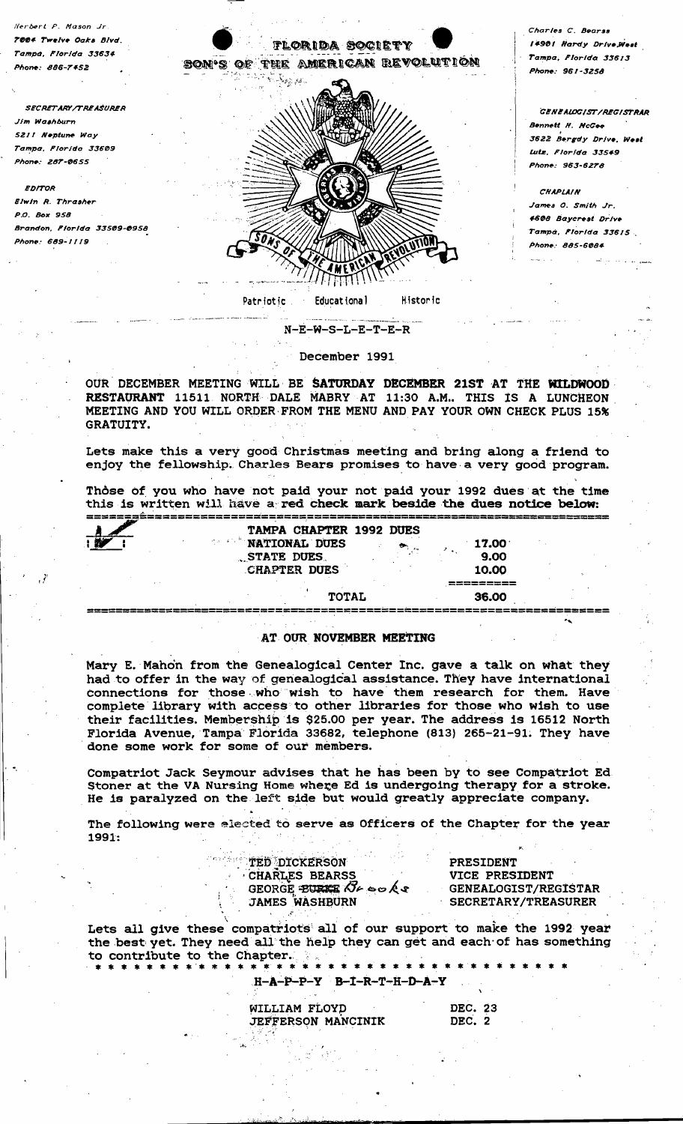

Herbert P. Mason Jr

TOOS Twelve Oaks Blvd

**SECRETARY/TREASURER** 

Brandon, Florida 33509-0958

Tampa, Florida 33634

hone: 886-7452

Jim Washburn

**EDITOR** 

P.O. Box 958

5211 Neptune Way

Phon<del>e</del>: 287-0655

Elwin R. Thrasher

Phone: 689-1119

Tampa, Florida 33609

Charles C. Bearss 14901 Hardy Drive West Tampa, Florida 33613 one: 961-3258

**GENEALOGIST/REGISTRAR Bennett H. McGee** 3622 Bergdy Drive, West Lute Florida 33549 Phone: 963-6278

**CHAPLAIN** James O. Smith Jr. 4608 Baycrest Drive Tampa, Florida 33615 Phone: 885-6084

## $N-E-W-S-L-E-T-E-R$

## December 1991

OUR DECEMBER MEETING WILL BE SATURDAY DECEMBER 21ST AT THE WILDWOOD RESTAURANT 11511 NORTH DALE MABRY AT 11:30 A.M.. THIS IS A LUNCHEON MEETING AND YOU WILL ORDER FROM THE MENU AND PAY YOUR OWN CHECK PLUS 15% GRATUITY.

Lets make this a very good Christmas meeting and bring along a friend to enjoy the fellowship. Charles Bears promises to have a very good program.

Thôse of you who have not paid your not paid your 1992 dues at the time this is written will have a red check mark beside the dues notice below:

| TAMPA CHAPTER 1992 DUES |     |       |  |
|-------------------------|-----|-------|--|
| <b>NATIONAL DUES</b>    | ್ಲಿ | 17.00 |  |
| STATE DUES              |     | 9.00  |  |
| <b>CHAPTER DUES</b>     |     | 10.00 |  |
|                         |     |       |  |
| <b>TOTAL</b>            |     | 36.00 |  |

## AT OUR NOVEMBER MEETING

Mary E. Mahon from the Genealogical Center Inc. gave a talk on what they had to offer in the way of genealogical assistance. They have international connections for those who wish to have them research for them. Have complete library with access to other libraries for those who wish to use their facilities. Membership is \$25.00 per year. The address is 16512 North Florida Avenue, Tampa Florida 33682, telephone (813) 265-21-91. They have done some work for some of our members.

Compatriot Jack Seymour advises that he has been by to see Compatriot Ed.<br>Stoner at the VA Nursing Home where Ed is undergoing therapy for a stroke. He is paralyzed on the left side but would greatly appreciate company.

The following were alected to serve as Officers of the Chapter for the year  $1991:$ 

| <b>TED DICKERSON</b>             | PRESIDENT                   |  |  |
|----------------------------------|-----------------------------|--|--|
| CHARLES BEARSS                   | VICE PRESIDENT              |  |  |
| GEORGE EURIE $\alpha \sim \beta$ | <b>GENEALOGIST/REGISTAR</b> |  |  |
| <b>JAMES WASHBURN</b>            | <b>SECRETARY/TREASURER</b>  |  |  |

Lets all give these compatriots all of our support to make the 1992 year the best yet. They need all the help they can get and each of has something to contribute to the Chapter. \* \* \* \*

 $H - A - P - P - Y$  B-I-R-T-H-D-A-Y

WILLIAM FLOYD JEFFERSON MANCINIK

DEC. 23 DEC. 2